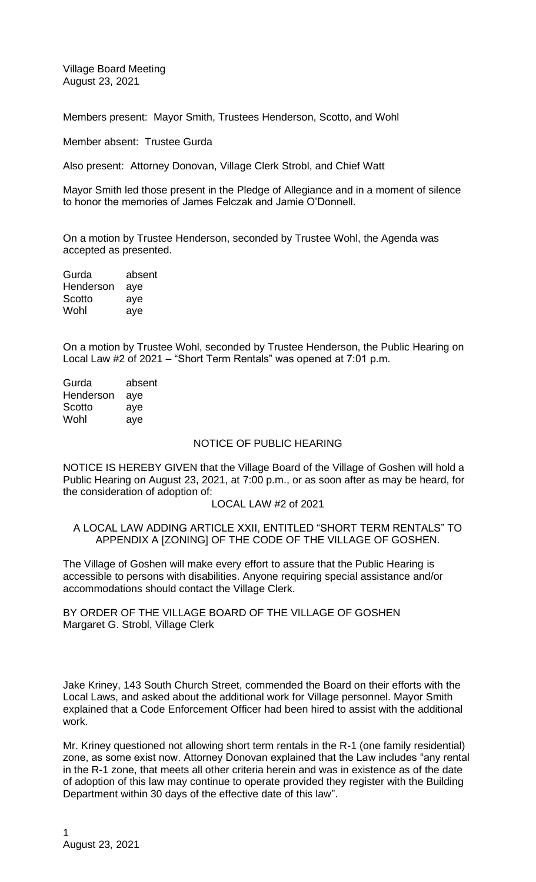Village Board Meeting August 23, 2021

Members present: Mayor Smith, Trustees Henderson, Scotto, and Wohl

Member absent: Trustee Gurda

Also present: Attorney Donovan, Village Clerk Strobl, and Chief Watt

Mayor Smith led those present in the Pledge of Allegiance and in a moment of silence to honor the memories of James Felczak and Jamie O'Donnell.

On a motion by Trustee Henderson, seconded by Trustee Wohl, the Agenda was accepted as presented.

| absent |
|--------|
| aye    |
| aye    |
| aye    |
|        |

On a motion by Trustee Wohl, seconded by Trustee Henderson, the Public Hearing on Local Law #2 of 2021 – "Short Term Rentals" was opened at 7:01 p.m.

| absent |
|--------|
| aye    |
| aye    |
| aye    |
|        |

### NOTICE OF PUBLIC HEARING

NOTICE IS HEREBY GIVEN that the Village Board of the Village of Goshen will hold a Public Hearing on August 23, 2021, at 7:00 p.m., or as soon after as may be heard, for the consideration of adoption of:

## LOCAL LAW #2 of 2021

# A LOCAL LAW ADDING ARTICLE XXII, ENTITLED "SHORT TERM RENTALS" TO APPENDIX A [ZONING] OF THE CODE OF THE VILLAGE OF GOSHEN.

The Village of Goshen will make every effort to assure that the Public Hearing is accessible to persons with disabilities. Anyone requiring special assistance and/or accommodations should contact the Village Clerk.

BY ORDER OF THE VILLAGE BOARD OF THE VILLAGE OF GOSHEN Margaret G. Strobl, Village Clerk

Jake Kriney, 143 South Church Street, commended the Board on their efforts with the Local Laws, and asked about the additional work for Village personnel. Mayor Smith explained that a Code Enforcement Officer had been hired to assist with the additional work.

Mr. Kriney questioned not allowing short term rentals in the R-1 (one family residential) zone, as some exist now. Attorney Donovan explained that the Law includes "any rental in the R-1 zone, that meets all other criteria herein and was in existence as of the date of adoption of this law may continue to operate provided they register with the Building Department within 30 days of the effective date of this law".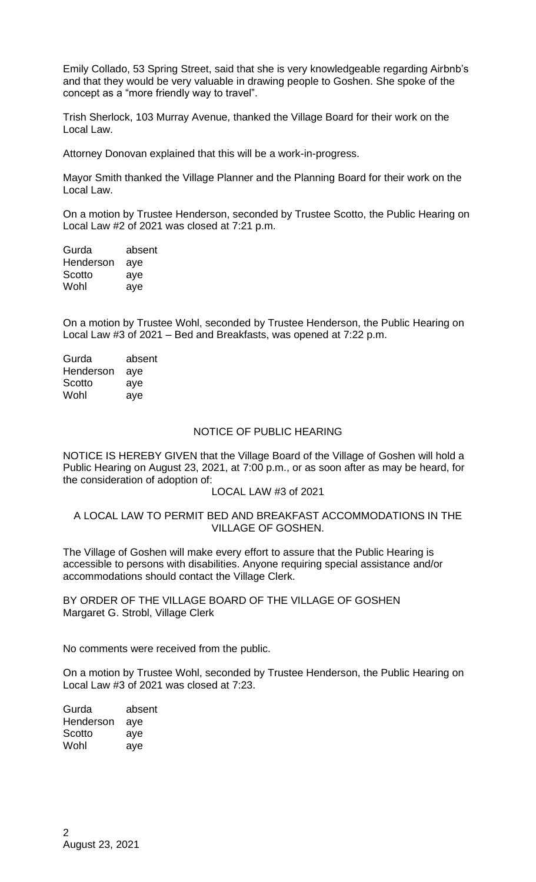Emily Collado, 53 Spring Street, said that she is very knowledgeable regarding Airbnb's and that they would be very valuable in drawing people to Goshen. She spoke of the concept as a "more friendly way to travel".

Trish Sherlock, 103 Murray Avenue, thanked the Village Board for their work on the Local Law.

Attorney Donovan explained that this will be a work-in-progress.

Mayor Smith thanked the Village Planner and the Planning Board for their work on the Local Law.

On a motion by Trustee Henderson, seconded by Trustee Scotto, the Public Hearing on Local Law #2 of 2021 was closed at 7:21 p.m.

| Gurda     | absent |
|-----------|--------|
| Henderson | aye    |
| Scotto    | aye    |
| Wohl      | aye    |
|           |        |

On a motion by Trustee Wohl, seconded by Trustee Henderson, the Public Hearing on Local Law #3 of 2021 – Bed and Breakfasts, was opened at 7:22 p.m.

| Gurda     | absent |
|-----------|--------|
| Henderson | aye    |
| Scotto    | aye    |
| Wohl      | aye    |
|           |        |

## NOTICE OF PUBLIC HEARING

NOTICE IS HEREBY GIVEN that the Village Board of the Village of Goshen will hold a Public Hearing on August 23, 2021, at 7:00 p.m., or as soon after as may be heard, for the consideration of adoption of:

### LOCAL LAW #3 of 2021

## A LOCAL LAW TO PERMIT BED AND BREAKFAST ACCOMMODATIONS IN THE VILLAGE OF GOSHEN.

The Village of Goshen will make every effort to assure that the Public Hearing is accessible to persons with disabilities. Anyone requiring special assistance and/or accommodations should contact the Village Clerk.

BY ORDER OF THE VILLAGE BOARD OF THE VILLAGE OF GOSHEN Margaret G. Strobl, Village Clerk

No comments were received from the public.

On a motion by Trustee Wohl, seconded by Trustee Henderson, the Public Hearing on Local Law #3 of 2021 was closed at 7:23.

| Gurda     | absent |
|-----------|--------|
| Henderson | aye    |
| Scotto    | aye    |
| Wohl      | aye    |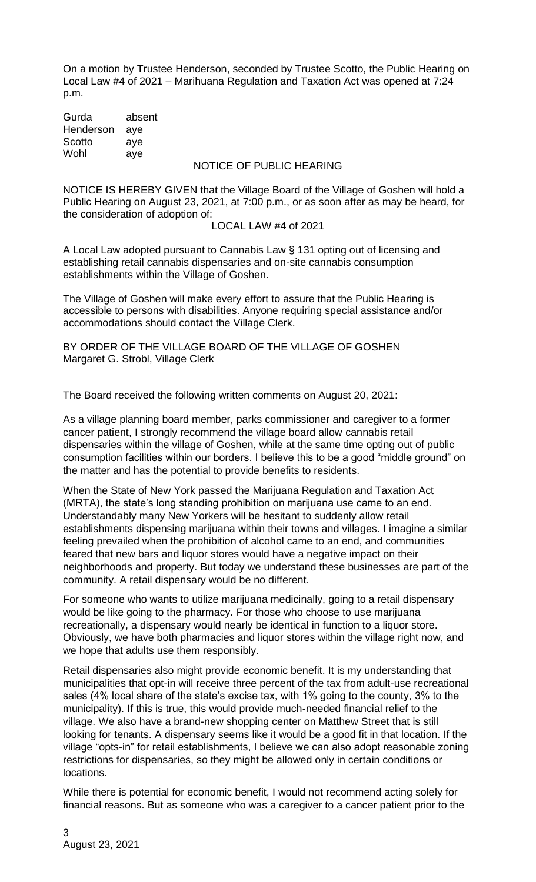On a motion by Trustee Henderson, seconded by Trustee Scotto, the Public Hearing on Local Law #4 of 2021 – Marihuana Regulation and Taxation Act was opened at 7:24 p.m.

Gurda absent Henderson aye Scotto ave Wohl aye

# NOTICE OF PUBLIC HEARING

NOTICE IS HEREBY GIVEN that the Village Board of the Village of Goshen will hold a Public Hearing on August 23, 2021, at 7:00 p.m., or as soon after as may be heard, for the consideration of adoption of:

## LOCAL LAW #4 of 2021

A Local Law adopted pursuant to Cannabis Law § 131 opting out of licensing and establishing retail cannabis dispensaries and on-site cannabis consumption establishments within the Village of Goshen.

The Village of Goshen will make every effort to assure that the Public Hearing is accessible to persons with disabilities. Anyone requiring special assistance and/or accommodations should contact the Village Clerk.

BY ORDER OF THE VILLAGE BOARD OF THE VILLAGE OF GOSHEN Margaret G. Strobl, Village Clerk

The Board received the following written comments on August 20, 2021:

As a village planning board member, parks commissioner and caregiver to a former cancer patient, I strongly recommend the village board allow cannabis retail dispensaries within the village of Goshen, while at the same time opting out of public consumption facilities within our borders. I believe this to be a good "middle ground" on the matter and has the potential to provide benefits to residents.

When the State of New York passed the Marijuana Regulation and Taxation Act (MRTA), the state's long standing prohibition on marijuana use came to an end. Understandably many New Yorkers will be hesitant to suddenly allow retail establishments dispensing marijuana within their towns and villages. I imagine a similar feeling prevailed when the prohibition of alcohol came to an end, and communities feared that new bars and liquor stores would have a negative impact on their neighborhoods and property. But today we understand these businesses are part of the community. A retail dispensary would be no different.

For someone who wants to utilize marijuana medicinally, going to a retail dispensary would be like going to the pharmacy. For those who choose to use marijuana recreationally, a dispensary would nearly be identical in function to a liquor store. Obviously, we have both pharmacies and liquor stores within the village right now, and we hope that adults use them responsibly.

Retail dispensaries also might provide economic benefit. It is my understanding that municipalities that opt-in will receive three percent of the tax from adult-use recreational sales (4% local share of the state's excise tax, with 1% going to the county, 3% to the municipality). If this is true, this would provide much-needed financial relief to the village. We also have a brand-new shopping center on Matthew Street that is still looking for tenants. A dispensary seems like it would be a good fit in that location. If the village "opts-in" for retail establishments, I believe we can also adopt reasonable zoning restrictions for dispensaries, so they might be allowed only in certain conditions or locations.

While there is potential for economic benefit, I would not recommend acting solely for financial reasons. But as someone who was a caregiver to a cancer patient prior to the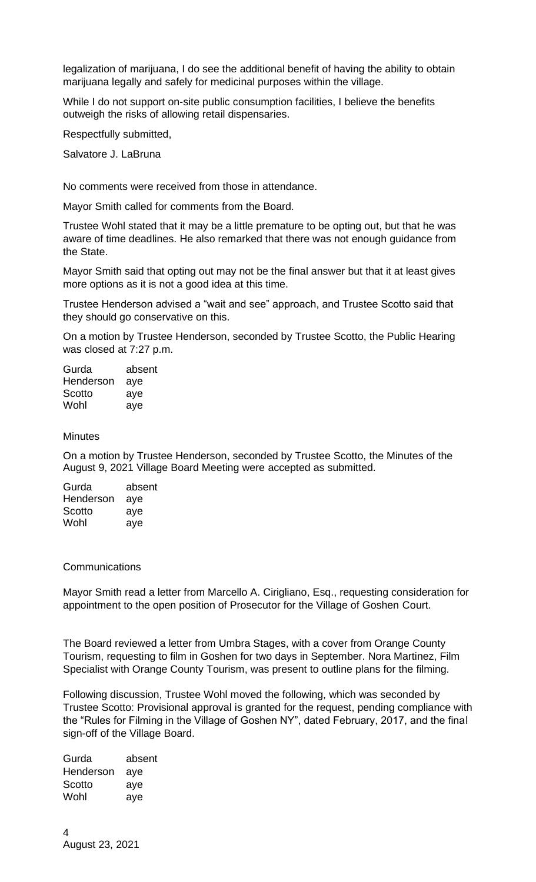legalization of marijuana, I do see the additional benefit of having the ability to obtain marijuana legally and safely for medicinal purposes within the village.

While I do not support on-site public consumption facilities, I believe the benefits outweigh the risks of allowing retail dispensaries.

Respectfully submitted,

Salvatore J. LaBruna

No comments were received from those in attendance.

Mayor Smith called for comments from the Board.

Trustee Wohl stated that it may be a little premature to be opting out, but that he was aware of time deadlines. He also remarked that there was not enough guidance from the State.

Mayor Smith said that opting out may not be the final answer but that it at least gives more options as it is not a good idea at this time.

Trustee Henderson advised a "wait and see" approach, and Trustee Scotto said that they should go conservative on this.

On a motion by Trustee Henderson, seconded by Trustee Scotto, the Public Hearing was closed at 7:27 p.m.

| Gurda     | absent |
|-----------|--------|
| Henderson | aye    |
| Scotto    | aye    |
| Wohl      | aye    |

#### **Minutes**

On a motion by Trustee Henderson, seconded by Trustee Scotto, the Minutes of the August 9, 2021 Village Board Meeting were accepted as submitted.

| Gurda     | absent |
|-----------|--------|
| Henderson | aye    |
| Scotto    | aye    |
| Wohl      | aye    |
|           |        |

### **Communications**

Mayor Smith read a letter from Marcello A. Cirigliano, Esq., requesting consideration for appointment to the open position of Prosecutor for the Village of Goshen Court.

The Board reviewed a letter from Umbra Stages, with a cover from Orange County Tourism, requesting to film in Goshen for two days in September. Nora Martinez, Film Specialist with Orange County Tourism, was present to outline plans for the filming.

Following discussion, Trustee Wohl moved the following, which was seconded by Trustee Scotto: Provisional approval is granted for the request, pending compliance with the "Rules for Filming in the Village of Goshen NY", dated February, 2017, and the final sign-off of the Village Board.

Gurda absent Henderson aye Scotto aye Wohl aye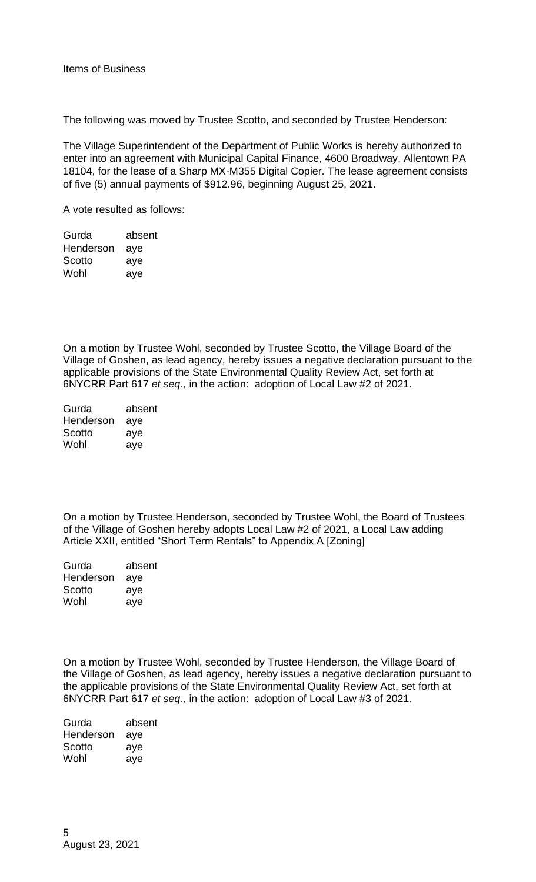The following was moved by Trustee Scotto, and seconded by Trustee Henderson:

The Village Superintendent of the Department of Public Works is hereby authorized to enter into an agreement with Municipal Capital Finance, 4600 Broadway, Allentown PA 18104, for the lease of a Sharp MX-M355 Digital Copier. The lease agreement consists of five (5) annual payments of \$912.96, beginning August 25, 2021.

A vote resulted as follows:

| Gurda     | absent |
|-----------|--------|
| Henderson | aye    |
| Scotto    | aye    |
| Wohl      | aye    |

On a motion by Trustee Wohl, seconded by Trustee Scotto, the Village Board of the Village of Goshen, as lead agency, hereby issues a negative declaration pursuant to the applicable provisions of the State Environmental Quality Review Act, set forth at 6NYCRR Part 617 *et seq.,* in the action: adoption of Local Law #2 of 2021.

| Gurda     | absent |
|-----------|--------|
| Henderson | aye    |
| Scotto    | aye    |
| Wohl      | aye    |

On a motion by Trustee Henderson, seconded by Trustee Wohl, the Board of Trustees of the Village of Goshen hereby adopts Local Law #2 of 2021, a Local Law adding Article XXII, entitled "Short Term Rentals" to Appendix A [Zoning]

| absent |
|--------|
| aye    |
| aye    |
| aye    |
|        |

On a motion by Trustee Wohl, seconded by Trustee Henderson, the Village Board of the Village of Goshen, as lead agency, hereby issues a negative declaration pursuant to the applicable provisions of the State Environmental Quality Review Act, set forth at 6NYCRR Part 617 *et seq.,* in the action: adoption of Local Law #3 of 2021.

| Gurda     | absent |
|-----------|--------|
| Henderson | aye    |
| Scotto    | aye    |
| Wohl      | aye    |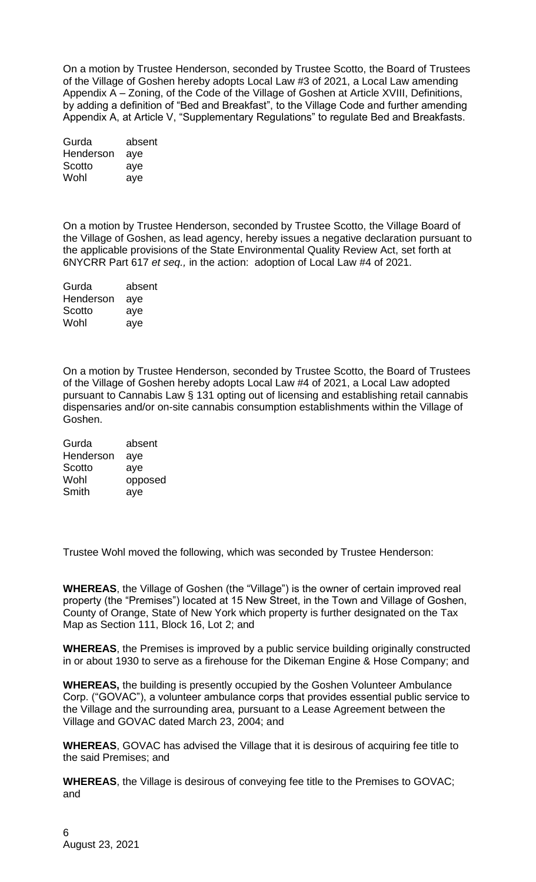On a motion by Trustee Henderson, seconded by Trustee Scotto, the Board of Trustees of the Village of Goshen hereby adopts Local Law #3 of 2021, a Local Law amending Appendix A – Zoning, of the Code of the Village of Goshen at Article XVIII, Definitions, by adding a definition of "Bed and Breakfast", to the Village Code and further amending Appendix A, at Article V, "Supplementary Regulations" to regulate Bed and Breakfasts.

| Gurda     | absent |
|-----------|--------|
| Henderson | aye    |
| Scotto    | aye    |
| Wohl      | aye    |

On a motion by Trustee Henderson, seconded by Trustee Scotto, the Village Board of the Village of Goshen, as lead agency, hereby issues a negative declaration pursuant to the applicable provisions of the State Environmental Quality Review Act, set forth at 6NYCRR Part 617 *et seq.,* in the action: adoption of Local Law #4 of 2021.

| absent |
|--------|
| aye    |
| aye    |
| aye    |
|        |

On a motion by Trustee Henderson, seconded by Trustee Scotto, the Board of Trustees of the Village of Goshen hereby adopts Local Law #4 of 2021, a Local Law adopted pursuant to Cannabis Law § 131 opting out of licensing and establishing retail cannabis dispensaries and/or on-site cannabis consumption establishments within the Village of Goshen.

| Gurda     | absent  |
|-----------|---------|
| Henderson | aye     |
| Scotto    | aye     |
| Wohl      | opposed |
| Smith     | aye     |

Trustee Wohl moved the following, which was seconded by Trustee Henderson:

**WHEREAS**, the Village of Goshen (the "Village") is the owner of certain improved real property (the "Premises") located at 15 New Street, in the Town and Village of Goshen, County of Orange, State of New York which property is further designated on the Tax Map as Section 111, Block 16, Lot 2; and

**WHEREAS**, the Premises is improved by a public service building originally constructed in or about 1930 to serve as a firehouse for the Dikeman Engine & Hose Company; and

**WHEREAS,** the building is presently occupied by the Goshen Volunteer Ambulance Corp. ("GOVAC"), a volunteer ambulance corps that provides essential public service to the Village and the surrounding area, pursuant to a Lease Agreement between the Village and GOVAC dated March 23, 2004; and

**WHEREAS**, GOVAC has advised the Village that it is desirous of acquiring fee title to the said Premises; and

**WHEREAS**, the Village is desirous of conveying fee title to the Premises to GOVAC; and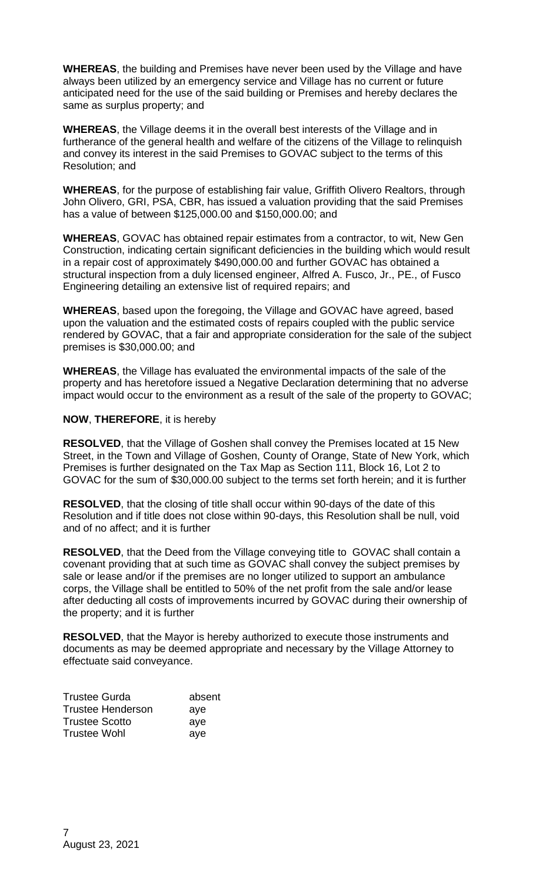**WHEREAS**, the building and Premises have never been used by the Village and have always been utilized by an emergency service and Village has no current or future anticipated need for the use of the said building or Premises and hereby declares the same as surplus property; and

**WHEREAS**, the Village deems it in the overall best interests of the Village and in furtherance of the general health and welfare of the citizens of the Village to relinquish and convey its interest in the said Premises to GOVAC subject to the terms of this Resolution; and

**WHEREAS**, for the purpose of establishing fair value, Griffith Olivero Realtors, through John Olivero, GRI, PSA, CBR, has issued a valuation providing that the said Premises has a value of between \$125,000.00 and \$150,000.00; and

**WHEREAS**, GOVAC has obtained repair estimates from a contractor, to wit, New Gen Construction, indicating certain significant deficiencies in the building which would result in a repair cost of approximately \$490,000.00 and further GOVAC has obtained a structural inspection from a duly licensed engineer, Alfred A. Fusco, Jr., PE., of Fusco Engineering detailing an extensive list of required repairs; and

**WHEREAS**, based upon the foregoing, the Village and GOVAC have agreed, based upon the valuation and the estimated costs of repairs coupled with the public service rendered by GOVAC, that a fair and appropriate consideration for the sale of the subject premises is \$30,000.00; and

**WHEREAS**, the Village has evaluated the environmental impacts of the sale of the property and has heretofore issued a Negative Declaration determining that no adverse impact would occur to the environment as a result of the sale of the property to GOVAC;

# **NOW**, **THEREFORE**, it is hereby

**RESOLVED**, that the Village of Goshen shall convey the Premises located at 15 New Street, in the Town and Village of Goshen, County of Orange, State of New York, which Premises is further designated on the Tax Map as Section 111, Block 16, Lot 2 to GOVAC for the sum of \$30,000.00 subject to the terms set forth herein; and it is further

**RESOLVED**, that the closing of title shall occur within 90-days of the date of this Resolution and if title does not close within 90-days, this Resolution shall be null, void and of no affect; and it is further

**RESOLVED**, that the Deed from the Village conveying title to GOVAC shall contain a covenant providing that at such time as GOVAC shall convey the subject premises by sale or lease and/or if the premises are no longer utilized to support an ambulance corps, the Village shall be entitled to 50% of the net profit from the sale and/or lease after deducting all costs of improvements incurred by GOVAC during their ownership of the property; and it is further

**RESOLVED**, that the Mayor is hereby authorized to execute those instruments and documents as may be deemed appropriate and necessary by the Village Attorney to effectuate said conveyance.

| <b>Trustee Gurda</b>     | absent |
|--------------------------|--------|
| <b>Trustee Henderson</b> | aye    |
| <b>Trustee Scotto</b>    | aye    |
| <b>Trustee Wohl</b>      | aye    |